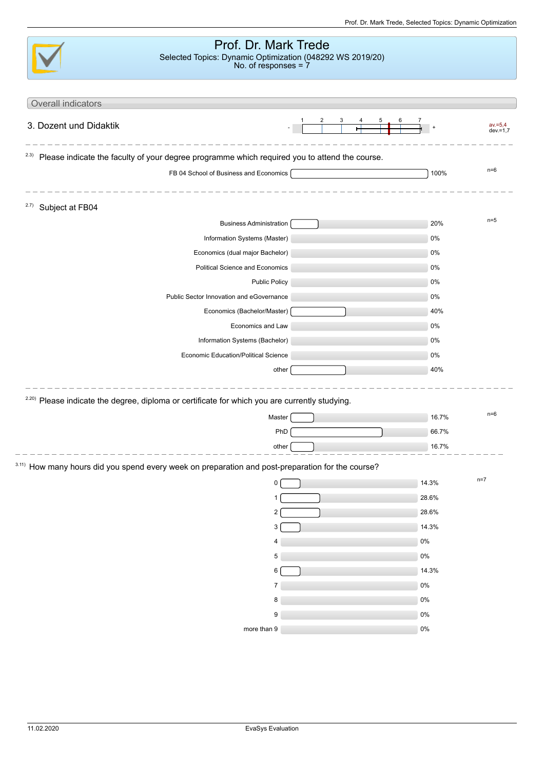|                         | Prof. Dr. Mark Trede<br>Selected Topics: Dynamic Optimization (048292 WS 2019/20)<br>No. of responses = $7$ |  |       |                        |
|-------------------------|-------------------------------------------------------------------------------------------------------------|--|-------|------------------------|
| Overall indicators      |                                                                                                             |  |       |                        |
|                         |                                                                                                             |  |       |                        |
| 3. Dozent und Didaktik  |                                                                                                             |  |       | $av = 5.4$<br>dev.=1,7 |
| 2.3)                    | Please indicate the faculty of your degree programme which required you to attend the course.               |  |       |                        |
|                         | FB 04 School of Business and Economics [                                                                    |  | 100%  | $n=6$                  |
| 2.7)<br>Subject at FB04 |                                                                                                             |  |       |                        |
|                         | <b>Business Administration</b>                                                                              |  | 20%   | $n=5$                  |
|                         | Information Systems (Master)                                                                                |  | 0%    |                        |
|                         | Economics (dual major Bachelor)                                                                             |  | 0%    |                        |
|                         | Political Science and Economics                                                                             |  | 0%    |                        |
|                         | <b>Public Policy</b>                                                                                        |  | 0%    |                        |
|                         | Public Sector Innovation and eGovernance                                                                    |  | 0%    |                        |
|                         | Economics (Bachelor/Master)                                                                                 |  | 40%   |                        |
|                         | Economics and Law                                                                                           |  | 0%    |                        |
|                         | Information Systems (Bachelor)                                                                              |  | 0%    |                        |
|                         | Economic Education/Political Science                                                                        |  | 0%    |                        |
|                         | other                                                                                                       |  | 40%   |                        |
|                         | <sup>2.20)</sup> Please indicate the degree, diploma or certificate for which you are currently studying.   |  |       |                        |
|                         | Master                                                                                                      |  | 16.7% | $n=6$                  |
|                         | PhD                                                                                                         |  | 66.7% |                        |
|                         | other                                                                                                       |  | 16.7% |                        |
|                         | 3.11) How many hours did you spend every week on preparation and post-preparation for the course?           |  |       |                        |
|                         | 0                                                                                                           |  | 14.3% | $n=7$                  |
|                         |                                                                                                             |  | 28.6% |                        |
|                         | 2                                                                                                           |  | 28.6% |                        |
|                         | 3                                                                                                           |  | 14.3% |                        |
|                         |                                                                                                             |  | $0\%$ |                        |
|                         | 5                                                                                                           |  | $0\%$ |                        |
|                         | 6                                                                                                           |  | 14.3% |                        |
|                         | 7                                                                                                           |  | $0\%$ |                        |
|                         | 8                                                                                                           |  | $0\%$ |                        |
|                         | 9                                                                                                           |  | $0\%$ |                        |
|                         | more than 9                                                                                                 |  | $0\%$ |                        |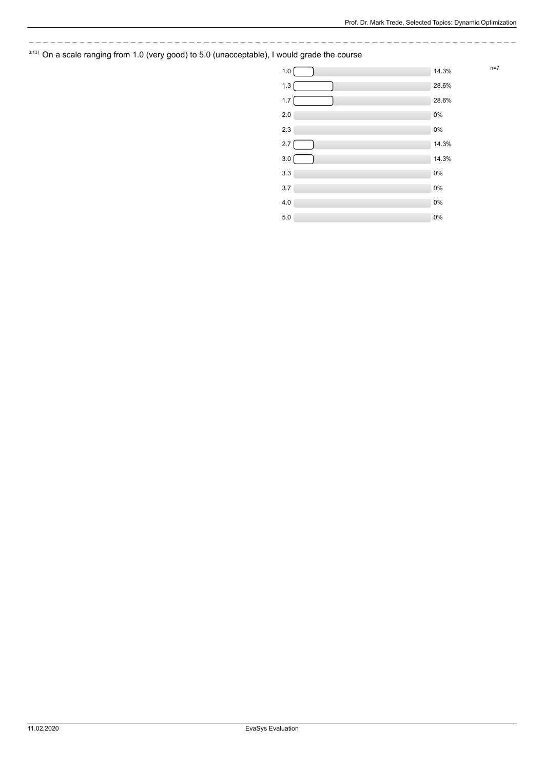## $3.13)$  On a scale ranging from 1.0 (very good) to 5.0 (unacceptable), I would grade the course

| 1.0   | $n=7$<br>14.3% |
|-------|----------------|
| 1.3   | 28.6%          |
| 1.7   | 28.6%          |
| 2.0   | 0%             |
| 2.3   | $0\%$          |
| 2.7   | 14.3%          |
| 3.0   | 14.3%          |
| 3.3   | 0%             |
| 3.7   | 0%             |
| 4.0   | 0%             |
| $5.0$ | 0%             |
|       |                |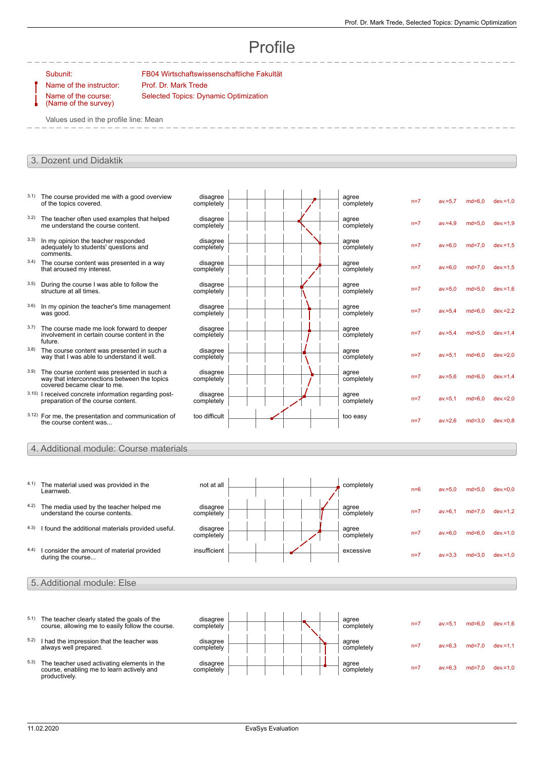# Profile

Name of the instructor: Prof. Dr. Mark Trede Name of the course: (Name of the survey)

Subunit: FB04 Wirtschaftswissenschaftliche Fakultät Selected Topics: Dynamic Optimization

Values used in the profile line: Mean

### 3. Dozent und Didaktik

| 3.1) | The course provided me with a good overview<br>of the topics covered.                                                     | disagree<br>completely |  | agree<br>completely | $n=7$ | $av = 5.7$ | $md=6.0$ | $dev = 1.0$ |
|------|---------------------------------------------------------------------------------------------------------------------------|------------------------|--|---------------------|-------|------------|----------|-------------|
| 3.2) | The teacher often used examples that helped<br>me understand the course content.                                          | disagree<br>completely |  | agree<br>completely | $n=7$ | $av = 4.9$ | $md=5.0$ | $dev = 1.9$ |
| 3.3) | In my opinion the teacher responded<br>adequately to students' questions and<br>comments.                                 | disagree<br>completely |  | agree<br>completely | $n=7$ | $av = 6.0$ | $md=7.0$ | $dev = 1.5$ |
| 3.4) | The course content was presented in a way<br>that aroused my interest.                                                    | disagree<br>completely |  | agree<br>completely | $n=7$ | $av = 6.0$ | $md=7.0$ | $dev = 1.5$ |
| 3.5) | During the course I was able to follow the<br>structure at all times.                                                     | disagree<br>completely |  | agree<br>completely | $n=7$ | $av = 5.0$ | $md=5.0$ | $dev = 1.6$ |
| 3.6) | In my opinion the teacher's time management<br>was good.                                                                  | disagree<br>completely |  | agree<br>completely | $n=7$ | $av = 5.4$ | $md=6.0$ | $dev = 2.2$ |
| 3.7) | The course made me look forward to deeper<br>involvement in certain course content in the<br>future.                      | disagree<br>completely |  | agree<br>completely | $n=7$ | $av = 5.4$ | $md=5.0$ | $dev = 1.4$ |
| 3.8) | The course content was presented in such a<br>way that I was able to understand it well.                                  | disagree<br>completely |  | agree<br>completely | $n=7$ | $av = 5.1$ | $md=6.0$ | $dev = 2.0$ |
| 3.9) | The course content was presented in such a<br>way that interconnections between the topics<br>covered became clear to me. | disagree<br>completely |  | agree<br>completely | $n=7$ | $av = 5.6$ | $md=6.0$ | $dev = 1,4$ |
|      | 3.10) I received concrete information regarding post-<br>preparation of the course content.                               | disagree<br>completely |  | agree<br>completely | $n=7$ | $av = 5.1$ | $md=6.0$ | $dev = 2.0$ |
|      | 3.12) For me, the presentation and communication of<br>the course content was                                             | too difficult          |  | too easy            | $n=7$ | $av = 2.6$ | $md=3.0$ | $dev = 0.8$ |
|      |                                                                                                                           |                        |  |                     |       |            |          |             |

### 4. Additional module: Course materials

| 4.1) | The material used was provided in the<br>Learnweb.                         | not at all             |  | completely          | $n=6$ | $av = 5.0$ | $md=5.0$ | $dev = 0.0$ |
|------|----------------------------------------------------------------------------|------------------------|--|---------------------|-------|------------|----------|-------------|
| 4.2) | The media used by the teacher helped me<br>understand the course contents. | disagree<br>completely |  | agree<br>completely | $n=7$ | $av = 6.1$ | $md=7.0$ | $dev = 1,2$ |
| 4.3) | I found the additional materials provided useful.                          | disagree<br>completely |  | agree<br>completely | $n=7$ | $av = 6.0$ | $md=6.0$ | $dev = 1.0$ |
| 4.4) | I consider the amount of material provided<br>during the course            | insufficient           |  | excessive           | $n=7$ | $av = 3.3$ | $md=3.0$ | dev.=1,0    |
|      | 5. Additional module: Else                                                 |                        |  |                     |       |            |          |             |

- $5.1$ ) The teacher clearly stated the goals of the course, allowing me to easily follow the course.
- $5.2$ ) I had the impression that the teacher was always well prepared.
- 5.3) The teacher used activating elements in the course, enabling me to learn actively and productively.